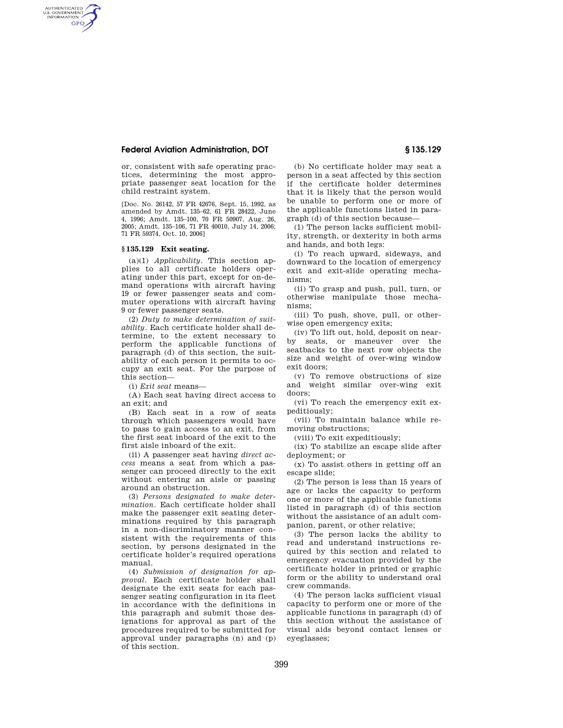#### **Federal Aviation Administration, DOT § 135.129**

or, consistent with safe operating practices, determining the most appropriate passenger seat location for the child restraint system.

[Doc. No. 26142, 57 FR 42676, Sept. 15, 1992, as amended by Amdt. 135–62, 61 FR 28422, June 4, 1996; Amdt. 135–100, 70 FR 50907, Aug. 26, 2005; Amdt. 135–106, 71 FR 40010, July 14, 2006; 71 FR 59374, Oct. 10, 2006]

#### **§ 135.129 Exit seating.**

AUTHENTICATED<br>U.S. GOVERNMENT<br>INFORMATION **GPO** 

> (a)(1) *Applicability.* This section applies to all certificate holders operating under this part, except for on-demand operations with aircraft having 19 or fewer passenger seats and commuter operations with aircraft having 9 or fewer passenger seats.

> (2) *Duty to make determination of suitability.* Each certificate holder shall determine, to the extent necessary to perform the applicable functions of paragraph (d) of this section, the suitability of each person it permits to occupy an exit seat. For the purpose of this section—

(i) *Exit seat* means—

(A) Each seat having direct access to an exit; and

(B) Each seat in a row of seats through which passengers would have to pass to gain access to an exit, from the first seat inboard of the exit to the first aisle inboard of the exit.

(ii) A passenger seat having *direct access* means a seat from which a passenger can proceed directly to the exit without entering an aisle or passing around an obstruction.

(3) *Persons designated to make determination.* Each certificate holder shall make the passenger exit seating determinations required by this paragraph in a non-discriminatory manner consistent with the requirements of this section, by persons designated in the certificate holder's required operations manual.

(4) *Submission of designation for approval.* Each certificate holder shall designate the exit seats for each passenger seating configuration in its fleet in accordance with the definitions in this paragraph and submit those designations for approval as part of the procedures required to be submitted for approval under paragraphs (n) and (p) of this section.

(b) No certificate holder may seat a person in a seat affected by this section if the certificate holder determines that it is likely that the person would be unable to perform one or more of the applicable functions listed in paragraph (d) of this section because—

(1) The person lacks sufficient mobility, strength, or dexterity in both arms and hands, and both legs:

(i) To reach upward, sideways, and downward to the location of emergency exit and exit-slide operating mechanisms;

(ii) To grasp and push, pull, turn, or otherwise manipulate those mechanisms;

(iii) To push, shove, pull, or otherwise open emergency exits;

(iv) To lift out, hold, deposit on nearby seats, or maneuver over the seatbacks to the next row objects the size and weight of over-wing window exit doors;

(v) To remove obstructions of size and weight similar over-wing exit doors;

(vi) To reach the emergency exit expeditiously;

(vii) To maintain balance while removing obstructions;

(viii) To exit expeditiously;

(ix) To stabilize an escape slide after deployment; or

(x) To assist others in getting off an escape slide;

(2) The person is less than 15 years of age or lacks the capacity to perform one or more of the applicable functions listed in paragraph (d) of this section without the assistance of an adult companion, parent, or other relative;

(3) The person lacks the ability to read and understand instructions required by this section and related to emergency evacuation provided by the certificate holder in printed or graphic form or the ability to understand oral crew commands.

(4) The person lacks sufficient visual capacity to perform one or more of the applicable functions in paragraph (d) of this section without the assistance of visual aids beyond contact lenses or eyeglasses;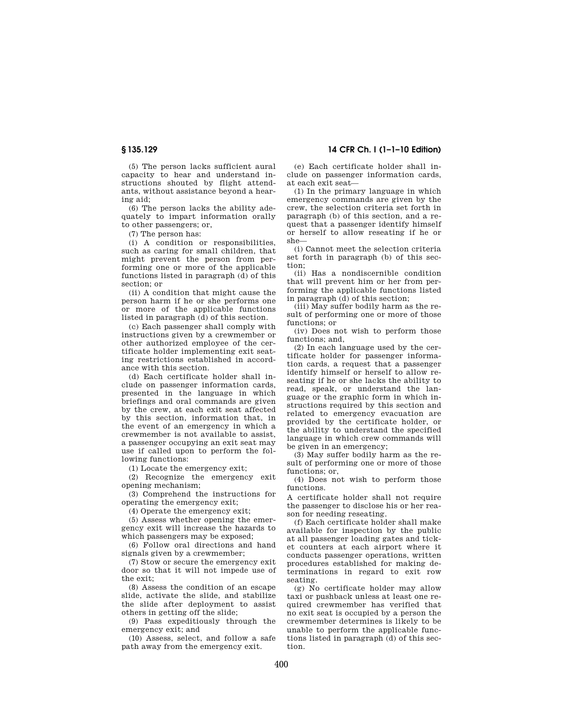(5) The person lacks sufficient aural capacity to hear and understand instructions shouted by flight attendants, without assistance beyond a hearing aid;

(6) The person lacks the ability adequately to impart information orally to other passengers; or,

(7) The person has:

(i) A condition or responsibilities, such as caring for small children, that might prevent the person from performing one or more of the applicable functions listed in paragraph (d) of this section; or

(ii) A condition that might cause the person harm if he or she performs one or more of the applicable functions listed in paragraph (d) of this section.

(c) Each passenger shall comply with instructions given by a crewmember or other authorized employee of the certificate holder implementing exit seating restrictions established in accordance with this section.

(d) Each certificate holder shall include on passenger information cards, presented in the language in which briefings and oral commands are given by the crew, at each exit seat affected by this section, information that, in the event of an emergency in which a crewmember is not available to assist, a passenger occupying an exit seat may use if called upon to perform the following functions:

(1) Locate the emergency exit;

(2) Recognize the emergency exit opening mechanism;

(3) Comprehend the instructions for operating the emergency exit;

(4) Operate the emergency exit;

(5) Assess whether opening the emergency exit will increase the hazards to which passengers may be exposed;

(6) Follow oral directions and hand signals given by a crewmember;

(7) Stow or secure the emergency exit door so that it will not impede use of the exit;

(8) Assess the condition of an escape slide, activate the slide, and stabilize the slide after deployment to assist others in getting off the slide;

(9) Pass expeditiously through the emergency exit; and

(10) Assess, select, and follow a safe path away from the emergency exit.

**§ 135.129 14 CFR Ch. I (1–1–10 Edition)** 

(e) Each certificate holder shall include on passenger information cards, at each exit seat—

(1) In the primary language in which emergency commands are given by the crew, the selection criteria set forth in paragraph (b) of this section, and a request that a passenger identify himself or herself to allow reseating if he or she—

(i) Cannot meet the selection criteria set forth in paragraph (b) of this section;

(ii) Has a nondiscernible condition that will prevent him or her from performing the applicable functions listed in paragraph (d) of this section;

(iii) May suffer bodily harm as the result of performing one or more of those functions; or

(iv) Does not wish to perform those functions; and,

(2) In each language used by the certificate holder for passenger information cards, a request that a passenger identify himself or herself to allow reseating if he or she lacks the ability to read, speak, or understand the language or the graphic form in which instructions required by this section and related to emergency evacuation are provided by the certificate holder, or the ability to understand the specified language in which crew commands will be given in an emergency;

(3) May suffer bodily harm as the result of performing one or more of those functions; or,

(4) Does not wish to perform those functions.

A certificate holder shall not require the passenger to disclose his or her reason for needing reseating.

(f) Each certificate holder shall make available for inspection by the public at all passenger loading gates and ticket counters at each airport where it conducts passenger operations, written procedures established for making determinations in regard to exit row seating.

(g) No certificate holder may allow taxi or pushback unless at least one required crewmember has verified that no exit seat is occupied by a person the crewmember determines is likely to be unable to perform the applicable functions listed in paragraph (d) of this section.